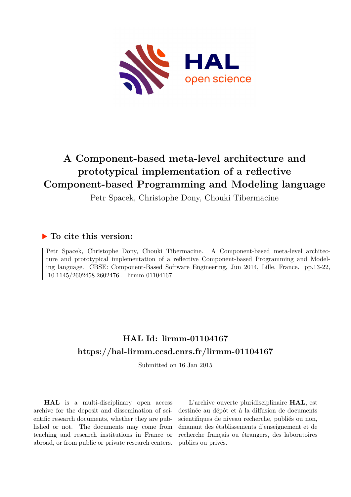

# **A Component-based meta-level architecture and prototypical implementation of a reflective Component-based Programming and Modeling language**

Petr Spacek, Christophe Dony, Chouki Tibermacine

## **To cite this version:**

Petr Spacek, Christophe Dony, Chouki Tibermacine. A Component-based meta-level architecture and prototypical implementation of a reflective Component-based Programming and Modeling language. CBSE: Component-Based Software Engineering, Jun 2014, Lille, France. pp.13-22, 10.1145/2602458.2602476 . lirmm-01104167

## **HAL Id: lirmm-01104167 <https://hal-lirmm.ccsd.cnrs.fr/lirmm-01104167>**

Submitted on 16 Jan 2015

**HAL** is a multi-disciplinary open access archive for the deposit and dissemination of scientific research documents, whether they are published or not. The documents may come from teaching and research institutions in France or abroad, or from public or private research centers.

L'archive ouverte pluridisciplinaire **HAL**, est destinée au dépôt et à la diffusion de documents scientifiques de niveau recherche, publiés ou non, émanant des établissements d'enseignement et de recherche français ou étrangers, des laboratoires publics ou privés.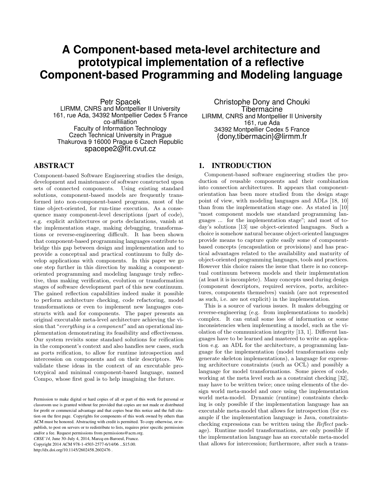## **A Component-based meta-level architecture and prototypical implementation of a reflective Component-based Programming and Modeling language**

Petr Spacek LIRMM, CNRS and Montpellier II University 161, rue Ada, 34392 Montpellier Cedex 5 France co-affiliation Faculty of Information Technology Czech Technical University in Prague Thakurova 9 16000 Prague 6 Czech Republic spacepe2@fit.cvut.cz

## ABSTRACT

Component-based Software Engineering studies the design, development and maintenance of software constructed upon sets of connected components. Using existing standard solutions, component-based models are frequently transformed into non-component-based programs, most of the time object-oriented, for run-time execution. As a consequence many component-level descriptions (part of code), e.g. explicit architectures or ports declarations, vanish at the implementation stage, making debugging, transformations or reverse-engineering difficult. It has been shown that component-based programming languages contribute to bridge this gap between design and implementation and to provide a conceptual and practical continuum to fully develop applications with components. In this paper we go one step further in this direction by making a componentoriented programming and modeling language truly reflective, thus making verification, evolution or transformation stages of software development part of this new continuum. The gained reflection capabilities indeed make it possible to perform architecture checking, code refactoring, model transformations or even to implement new languages constructs with and for components. The paper presents an original executable meta-level architecture achieving the vision that "everything is a component" and an operational implementation demonstrating its feasibility and effectiveness. Our system revisits some standard solutions for reification in the component's context and also handles new cases, such as ports reification, to allow for runtime introspection and intercession on components and on their descriptors. We validate these ideas in the context of an executable prototypical and minimal component-based language, named Compo, whose first goal is to help imagining the future.

*CBSE'14,* June 30–July 4, 2014, Marcq-en-Baroeul, France. Copyright 2014 ACM 978-1-4503-2577-6/14/06 ...\$15.00. http://dx.doi.org/10.1145/2602458.2602476 .

Christophe Dony and Chouki Tibermacine LIRMM, CNRS and Montpellier II University 161, rue Ada 34392 Montpellier Cedex 5 France {dony,tibermacin}@lirmm.fr

## 1. INTRODUCTION

Component-based software engineering studies the production of reusable components and their combination into connection architectures. It appears that componentorientation has been more studied from the design stage point of view, with modeling languages and ADLs [18, 10] than from the implementation stage one. As stated in [10] "most component models use standard programming languages ... for the implementation stage"; and most of today's solutions [13] use object-oriented languages. Such a choice is somehow natural because object-oriented languages provide means to capture quite easily some of componentbased concepts (encapsulation or provisions) and has practical advantages related to the availability and maturity of object-oriented programming languages, tools and practices. However this choice raises the issue that there is no conceptual continuum between models and their implementation (at least it is incomplete). Many concepts used during design (component descriptors, required services, ports, architectures, components themselves) vanish (are not represented as such, i.e. are not explicit) in the implementation.

This is a source of various issues. It makes debugging or reverse-engineering (e.g. from implementations to models) complex. It can entail some loss of information or some inconsistencies when implementing a model, such as the violation of the communication integrity [13, 1]. Different languages have to be learned and mastered to write an application e.g. an ADL for the architecture, a programming language for the implementation (model transformations only generate skeleton implementations), a language for expressing architecture constraints (such as OCL) and possibly a language for model transformations. Some pieces of code, working at the meta level such as a constraint checking [32], may have to be written twice; once using elements of the design world meta-model and once using the implementation world meta-model. Dynamic (runtime) constraints checking is only possible if the implementation language has an executable meta-model that allows for introspection (for example if the implementation language is Java, constraintschecking expressions can be written using the Reflect package). Runtime model transformations, are only possible if the implementation language has an executable meta-model that allows for intercession; furthermore, after such a trans-

Permission to make digital or hard copies of all or part of this work for personal or classroom use is granted without fee provided that copies are not made or distributed for profit or commercial advantage and that copies bear this notice and the full citation on the first page. Copyrights for components of this work owned by others than ACM must be honored. Abstracting with credit is permitted. To copy otherwise, or republish, to post on servers or to redistribute to lists, requires prior specific permission and/or a fee. Request permissions from permissions@acm.org.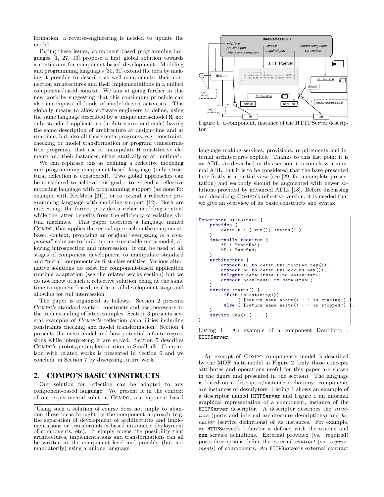formation, a reverse-engineering is needed to update the model.

Facing these issues, component-based programming languages [1, 27, 13] propose a first global solution towards a continuum for component-based development. Modeling and programming languages [30, 31] extend the idea by making it possible to describe as well components, their connection architectures and their implementations in a unified component-based context. We aim at going further in this new work by suggesting that this continuum principle can also encompass all kinds of model-driven activities. This globally means to allow software engineers to define, using the same language described by a unique meta-model M, not only standard applications (architectures and code) having the same description of architecture at design-time and at run-time, but also all those meta-programs, e.g. constraintchecking or model transformation or program transformation programs, that use or manipulate M constitutive elements and their instances, either statically or at runtime<sup>1</sup>.

We can rephrase this as defining a reflective modeling and programming component-based language (only structural reflection is considered). Two global approaches can be considered to achieve this goal : to extend a reflective modeling language with programming support (as done for example with KerMeta [21]), or to extend a reflective programming language with modeling support [12]. Both are interesting, the former provides a richer modeling context while the latter benefits from the efficiency of existing virtual machines. This paper describes a language named Compo, that applies the second approach in the componentbased context, proposing an original "everything is a component" solution to build up an executable meta-model, allowing introspection and intercession. It can be used at all stages of component development to manipulate standard and "meta"-components as first-class entities. Various alternative solutions do exist for component-based application runtime adaptation (see the related works section) but we do not know of such a reflective solution being at the same time component-based, usable at all development stage and allowing for full intercession.

The paper is organized as follows. Section 2 presents Compo's standard syntax, constructs and use, necessary to the understanding of later examples. Section 3 presents several examples of Compo's reflection capabilities including constraints checking and model transformation. Section 4 presents the meta-model and how potential infinite regressions while interpreting it are solved. Section 5 describes Compo's prototype implementation in Smalltalk. Comparison with related works is presented in Section 6 and we conclude in Section 7 by discussing future work.

### 2. COMPO'S BASIC CONSTRUCTS

Our solution for reflection can be adapted to any component-based language. We present it in the context of our experimental solution Compo, a component-based



Figure 1: a component, instance of the HTTPServer descriptor

language making services, provisions, requirements and internal architectures explicit. Thanks to this last point it is an ADL. As described in this section it is somehow a minimal ADL, but it is to be considered that the base presented here firstly is a partial view (see [29] for a complete presentation) and secondly should be augmented with newer solutions provided by advanced ADLs [18]. Before discussing and describing Compo's reflective version, it is needed that we give an overview of its basic constructs and syntax.

```
Descriptor HTTPServer {
    provides {
        default : { run(); status() }
    }
    internally requires {
        fE : FrontEnd ;
        bE : BackEnd ;
    }
architecture {
        connect fE to default@ (FrontEnd.new());
        connect bE to default@ (BackEnd.new());
        delegate default@self to default@fE ;
        connect backEnd@fE to default@bE ;
    }
    service status () {
         if( fE . isListening ())
               { [return name.asstr() + ' is running']
         else { [return name.asstr() + ' is stopped']
    }
    service run() { ... }
}
```


An excerpt of COMPO component's model is described by the MOF meta-model in Figure 2 (only those concepts attributes and operations useful for this paper are shown in the figure and presented in the section). The language is based on a descriptor/instance dichotomy; components are instances of descriptors. Listing 1 shows an example of a descriptor named HTTPServer and Figure 1 an informal graphical representation of a component, instance of the HTTPServer descriptor. A descriptor describes the structure (ports and internal architecture descriptions) and behavior (service definitions) of its instances. For example, an HTTPServer's behavior is defined with the status and run service definitions. External provided (vs. required) ports descriptions define the external contract (vs. requirements) of components. An HTTPServer's external contract

<sup>&</sup>lt;sup>1</sup>Using such a solution of course does not imply to abandon those ideas brought by the component approach (e.g. the separation of development of architectures and implementations or transformation-based automatic deployment of components, etc). It simply opens the possibility that architectures, implementations and transformations can all be written at the component level and possibly (but not mandatorily) using a unique language.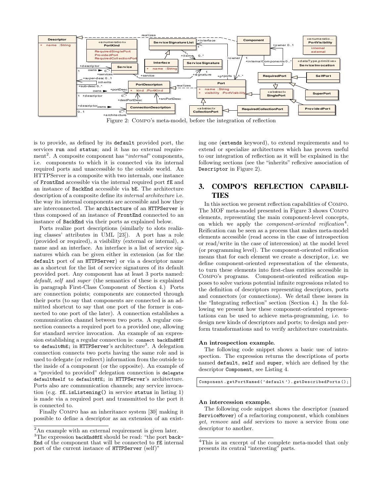

Figure 2: COMPO's meta-model, before the integration of reflection

is to provide, as defined by its default provided port, the services run and status; and it has no external requirement<sup>2</sup>. A composite component has "*internal*" components, i.e. components to which it is connected via its internal required ports and unaccessible to the outside world. An HTTPServer is a composite with two internals, one instance of FrontEnd accessible via the internal required port fE and an instance of BackEnd accessible via bE. The architecture description of a composite define its *internal architecture* i.e. the way its internal components are accessible and how they are interconnected. The architecture of an HTTPServer is thus composed of an instance of FrontEnd connected to an instance of BackEnd via their ports as explained below.

Ports realize port descriptions (similarly to slots realizing classes' attributes in UML [23]). A port has a role (provided or required), a visibility (external or internal), a name and an interface. An interface is a list of service signatures which can be given either in extension (as for the default port of an HTTPServer) or via a descriptor name as a shortcut for the list of service signatures of its default provided port. Any component has at least 3 ports named: *default, self* and *super* (the semantics of these is explained in paragraph First-Class Component of Section 4.) Ports are connection points; components are connected through their ports (to say that components are connected is an admitted shortcut to say that one port of the former is connected to one port of the later). A connection establishes a communication channel between two ports. A regular connection connects a required port to a provided one, allowing for standard service invocation. An example of an expression establishing a regular connection is: connect backEnd@fE to default@bE: in HTTPServer's architecture<sup>3</sup>. A delegation connection connects two ports having the same role and is used to delegate (or redirect) information from the outside to the inside of a component (or the opposite). An example of a "provided to provided" delegation connection is delegate default@self to default@fE; in HTTPServer's architecture. Ports also are communication channels; any service invocation (e.g. fE.isListening() in service status in listing 1) is made via a required port and transmitted to the port it is connected to.

Finally COMPO has an inheritance system [30] making it possible to define a descriptor as an extension of an existing one (extends keyword), to extend requirements and to extend or specialize architectures which has proven useful to our integration of reflection as it will be explained in the following sections (see the "inherits" reflexive association of Descriptor in Figure 2).

#### COMPO'S REFLECTION CAPABILI-**3.** TIES

In this section we present reflection capabilities of COMPO. The MOF meta-model presented in Figure 3 shows COMPO elements, representing the main component-level concepts, on which we apply the *component-oriented* reification<sup>4</sup>. Reification can be seen as a process that makes meta-model elements accessible (read access in the case of introspection or read/write in the case of intercession) at the model level (or programming level). The component-oriented reification means that for each element we create a descriptor, i.e. we define component-oriented representation of the elements, to turn these elements into first-class entities accessible in COMPO's programs. Component-oriented reification supposes to solve various potential infinite regressions related to the definition of descriptors representing descriptors, ports and connectors (or connections). We detail these issues in the "Integrating reflection" section (Section 4.) In the following we present how these component-oriented representations can be used to achieve meta-programming, i.e. to design new kinds of descriptors and ports; to design and perform transformations and to verify architecture constraints.

#### An introspection example.

The following code snippet shows a basic use of introspection. The expression returns the descriptions of ports named default, self and super, which are defined by the descriptor Component, see Listing 4.

Component.getPortNamed('default').getDescribedPorts();

#### An intercession example.

The following code snippet shows the descriptor (named ServiceMover) of a refactoring component, which combines get, remove and add services to move a service from one descriptor to another.

 $^2\mbox{An example with an external requirement is given later.}$  $3$ The expression backEnd@fE should be read: "the port back-End of the component that will be connected to  $\mathbf{\hat{f}}\mathbf{E}$  internal port of the current instance of HTTPServer (self)"

<sup>&</sup>lt;sup>4</sup>This is an excerpt of the complete meta-model that only presents its central "interesting" parts.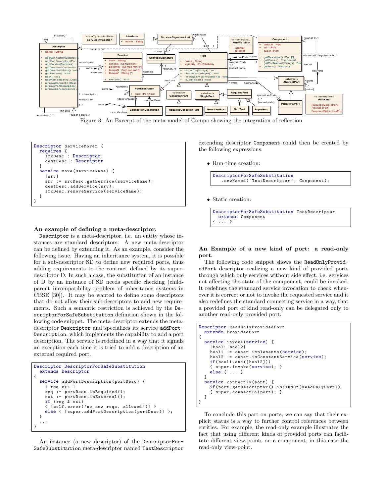

Figure 3: An Excerpt of the meta-model of Compo showing the integration of reflection

| Descriptor ServiceMover {<br>requires { |
|-----------------------------------------|
| srcDesc : Descriptor;                   |
| destDesc : Descriptor                   |
|                                         |
| service move (serviceName) {            |
| lsrv l                                  |
| srv := srcDesc.getService(serviceName); |
| destDesc.addService(srv);               |
| srcDesc.removeService(serviceName);     |
|                                         |
|                                         |

#### An example of defining a meta-descriptor.

Descriptor is a meta-descriptor, i.e. an entity whose instances are standard descriptors. A new meta-descriptor can be defined by extending it. As an example, consider the following issue. Having an inheritance system, it is possible for a sub-descriptor SD to define new required ports, thus adding requirements to the contract defined by its superdescriptor D. In such a case, the substitution of an instance of D by an instance of SD needs specific checking (childparent incompatibility problem of inheritance systems in CBSE  $[30]$ . It may be wanted to define some descriptors that do not allow their sub-descriptors to add new requirements. Such a semantic restriction is achieved by the DescriptorForSafeSubstitution definition shown in the following code snippet. The meta-descriptor extends the metadescriptor Descriptor and specializes its service addPort-Description, which implements the capability to add a port description. The service is redefined in a way that it signals an exception each time it is tried to add a description of an external required port.

```
Descriptor DescriptorForSafeSubstitution
  extends Descriptor
\mathbf{f}service addPortDescription(portDesc) {
    | req ext |req := portDesc.isRequired();
    ext := portDesc.isExternal();
    if (reg & ext)
    { [self.error('no new reqs. allowed')] }
    else { [super.addPortDescription(portDesc)] };
  þ
\overline{\mathbf{r}}
```
An instance (a new descriptor) of the DescriptorFor-SafeSubstitution meta-descriptor named TestDescriptor extending descriptor Component could then be created by the following expressions:

• Run-time creation:

```
DescriptorForSafeSubstitution
   .newNamed('TestDescriptor', Component);
```
• Static creation:

```
DescriptorForSafeSubstitution TestDescriptor
  extends Component
\mathfrak{c}\ldots }
```
#### An Example of a new kind of port: a read-only port.

The following code snippet shows the ReadOnlyProvidedPort descriptor realizing a new kind of provided ports through which only services without side effect, i.e. services not affecting the state of the component, could be invoked. It redefines the standard service invocation to check whenever it is correct or not to invoke the requested service and it also redefines the standard connecting service in a way, that a provided port of kind read-only can be delegated only to another read-only provided port.

```
Descriptor ReadOnlyProvidedPort
  extends ProvidedPort
\mathbf{f}service invoke(service) {
    1<sub>bool1</sub> bool21bool1 := owner.implements(service);
    bool2 := owner.isConstantService(service);
    if (bool1, and (fbool21)){ super.invoke(service); }
    else \{ \ldots \}Þ
  service connectTo(port) {
    if(port.getDescriptor().isKindOf(ReadOnlyPort))
    \mathbf{f}super.connectTo(port); }
  3
)
```
To conclude this part on ports, we can say that their explicit status is a way to further control references between entities. For example, the read-only example illustrates the fact that using different kinds of provided ports can facilitate different view-points on a component, in this case the read-only view-point.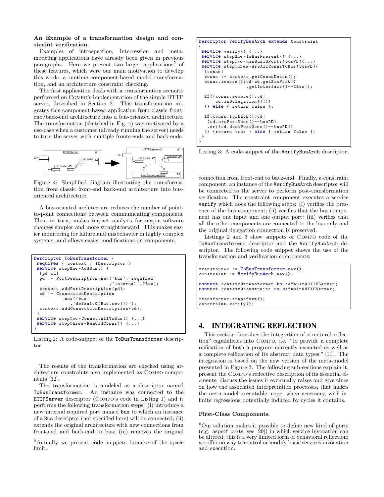#### An Example of a transformation design and constraint verification*.*

Examples of introspection, intercession and metamodeling applications have already been given in previous paragraphs. Here we present two larger applications<sup>5</sup> of these features, which were our main motivation to develop this work: a runtime component-based model transformation, and an architecture constraint checking.

The first application deals with a transformation scenario performed on Compo's implementation of the simple HTTP server, described in Section 2. This transformation migrates this component-based application from classic frontend/back-end architecture into a bus-oriented architecture. The transformation (sketched in Fig. 4) was motivated by a use-case when a customer (already running the server) needs to turn the server with multiple fronts-ends and back-ends.



Figure 4: Simplified diagram illustrating the transformation from classic front-end back-end architecture into busoriented architecture.

A bus-oriented architecture reduces the number of pointto-point connections between communicating components. This, in turn, makes impact analysis for major software changes simpler and more straightforward. This makes easier monitoring for failure and misbehavior in highly complex systems, and allows easier modifications on components.

```
Descriptor ToBusTransformer {
requires { context : IDescriptor }
 service stepOne - AddBus () {
  | pd cd |
  pd := PortDescription.new ('bus', 'required
                             ,' internal ', IBus );
  context.addPortDescription(pd);
  cd := ConnectionDescription
          .new ('bus'
              , ' default@ (Bus.new())' :
  context . addConnectionDescription ( cd );
}
 service stepTwo-ConnectAllToBus () {...}
 service stepThree - RemOldConns () {...}
}
```

```
Listing 2: A code-snippet of the ToBusTransformer descrip-
tor.
```
The results of the transformation are checked using architecture constraints also implemented as COMPO components [32].

The transformation is modeled as a descriptor named ToBusTransformer. An instance was connected to the HTTPServer descriptor (Compo's code in Listing 1) and it performs the following transformation steps: (i) introduce a new internal required port named bus to which an instance of a Bus descriptor (not specified here) will be connected; (ii) extends the original architecture with new connections from front-end and back-end to bus; (iii) removes the original

```
Descriptor VerifyBusArch extends Constraint
{
 service verify () {...}
 service stepOne-IsBusPresent() {...}
 service stepTwo-HasBusIOPorts (busPD){...}
 service stepThree - AreAllConnsToBus ( busPD ){
  | conns |
   conns := context . getConnsDescs ();
conns . remove ([: cd | cd . getSrcPort ()
                     . getInterface ()== IBus ]);
  if(( conns . remove ([: cd |
       cd . isDelegation ()]))
  {} else { return false };
  if( conns . forEach ([: cd |
   ( cd . srcPortDesc ()== busPD )
     . or ([ cd . destPortDesc ()== busPD ])
  ]) { return true } else { return false };
 }
}
```
Listing 3: A code-snippet of the VerifyBusArch descriptor.

connection from front-end to back-end. Finally, a constraint component, an instance of the VerifyBusArch descriptor will be connected to the server to perform post-transformation verification. The constraint component executes a service verify which does the following steps: (i) verifies the presence of the bus component; (ii) verifies that the bus component has one input and one output port; (iii) verifies that all the other components are connected to the bus only and the original delegation connection is preserved.

Listings 2 and 3 show snippets of Compo code of the ToBusTransformer descriptor and the VerifyBusArch descriptor. The following code snippet shows the use of the transformation and verification components:

```
transformer := ToBusTransformer. new ();
constraint := VerifyBusArch.new();
connect context@transformer to default@HTTPServer ;
connect context@constraint to default@HTTPServer ;
transformer . transform ();
constraint . verify ();
```
## 4. INTEGRATING REFLECTION

This section describes the integration of structural reflection<sup>6</sup> capabilities into COMPO, i.e. "to provide a complete reification of both a program currently executed as well as a complete reification of its abstract data types." [11]. The integration is based on the new version of the meta-model presented in Figure 3. The following sub-sections explain it, present the Compo's reflective description of its essential elements, discuss the issues it eventually raises and give clues on how the associated interpretation processes, that makes the meta-model executable, cope, when necessary, with infinite regressions potentially induced by cycles it contains.

#### First-Class Components*.*

<sup>6</sup>Our solution makes it possible to define new kind of ports (e.g. aspect ports, see [29]) in which service invocation can be altered, this is a very limited form of behavioral reflection; we offer no way to control or modify basic services invocation and execution.

<sup>5</sup>Actually we present code snippets because of the space limit.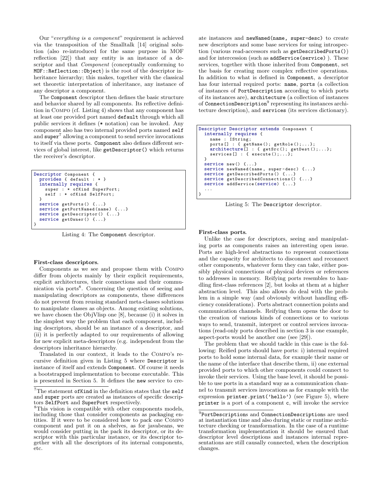Our "everything is a component" requirement is achieved via the transposition of the Smalltalk [14] original solution (also re-introduced for the same purpose in MOF reflection [22]) that any entity is an instance of a descriptor and that *Component* (conceptually conforming to MOF::Reflection::Object) is the root of the descriptor inheritance hierarchy; this makes, together with the classical set theoretic interpretation of inheritance, any instance of any descriptor a component.

The Component descriptor then defines the basic structure and behavior shared by all components. Its reflective definition in Compo (cf. Listing 4) shows that any component has at least one provided port named default through which all public services it defines (\* notation) can be invoked. Any component also has two internal provided ports named self and super<sup>7</sup> allowing a component to send service invocations to itself via these ports. Component also defines different services of global interest, like getDescriptor() which returns the receiver's descriptor.

```
Descriptor Component {
  provides { default : * }
  internally requires {
    super : * ofKind SuperPort:
    self : * ofKind SelfPort ;
  }
  service getPorts () {...}
  service getPortNamed (name) {...}
  service getDescriptor () {...}
  service getOwner () {...}
}
```
Listing 4: The Component descriptor.

#### First-class descriptors*.*

Components as we see and propose them with Compo differ from objects mainly by their explicit requirements, explicit architectures, their connections and their communication via ports<sup>8</sup>. Concerning the question of seeing and manipulating descriptors as components, these differences do not prevent from reusing standard meta-classes solutions to manipulate classes as objects. Among existing solutions, we have chosen the ObjVlisp one [8], because (i) it solves in the simplest way the problem that each component, including descriptors, should be an instance of a descriptor, and (ii) it is perfectly adapted to our requirements of allowing for new explicit meta-descriptors (e.g. independent from the descriptors inheritance hierarchy.

Translated in our context, it leads to the Compo's recursive definition given in Listing 5 where Descriptor is instance of itself and extends Component. Of course it needs a bootstrapped implementation to become executable. This is presented in Section 5. It defines the new service to create instances and newNamed(name, super-desc) to create new descriptors and some base services for using introspection (various read-accessors such as getDescribedPorts()) and for intercession (such as addService(service)). These services, together with those inherited from Component, set the basis for creating more complex reflective operations. In addition to what is defined in Component, a descriptor has four internal required ports: name, ports (a collection of instances of PortDescription according to which ports of its instances are), architecture (a collection of instances of  $\texttt{ConnectionDescription}^{9}$  representing its instances architecture description), and services (its services dictionary).

```
Descriptor Descriptor extends Component {
  internally requires {
    name : IString ;
    ports [] : { getName (); getRole (); ... };
    architecture[] : { getSrc (); getDest ();...};
    services [] : { execute();...};
  }
  service new () \{ \ldots \}service newNamed (name, super-desc) {...}
  service getDescribedPorts () {...}
  service getDescribedConnections () {...}
  service addService (service) {...}
  ...
}
```
Listing 5: The Descriptor descriptor.

#### First-class ports*.*

Unlike the case for descriptors, seeing and manipulating ports as components raises an interesting open issue. Ports are high-level abstractions to represent connections and the capacity for architects to disconnect and reconnect other components, whatever form they can take, either possibly physical connections of physical devices or references to addresses in memory. Reifying ports resembles to handling first-class references [2], but looks at them at a higher abstraction level. This also allows do deal with the problem in a simple way (and obviously without handling efficiency considerations). Ports abstract connection points and communication channels. Reifying them opens the door to the creation of various kinds of connections or to various ways to send, transmit, interpret or control services invocations (read-only ports described in section 3 is one example, aspect-ports would be another one (see [29]).

The problem that we should tackle in this case is the following: Reified ports should have ports: i) internal required ports to hold some internal data, for example their name or the name of the interface that describe them, ii) one external provided ports to which other components could connect to invoke their services. Using the base level, it should be possible to use ports in a standard way as a communication channel to transmit services invocations as for example with the expression printer.print('hello') (see Figure 5), where printer is a port of a component c, will invoke the service

 ${\rm ^7The}$  statement of<br>Kind in the definition states that the  ${\tt self}$ and super ports are created as instances of specific descriptors SelfPort and SuperPort respectively.

<sup>8</sup>This vision is compatible with other components models, including those that consider components as packaging entities. If it were to be considered how to pack one Compo component and put it on a shelves, as for javabeans, we would consider putting in the pack its descriptor, or its descriptor with this particular instance, or its descriptor together with all the descriptors of its internal components, etc.

 $^9$ PortDescriptions and ConnectionDescriptions are used at instantiation time and also during static or runtime architecture checking or transformation. In the case of a runtime transformation implementation it should be ensured that descriptor level descriptions and instances internal representations are still causally connected, when the description changes.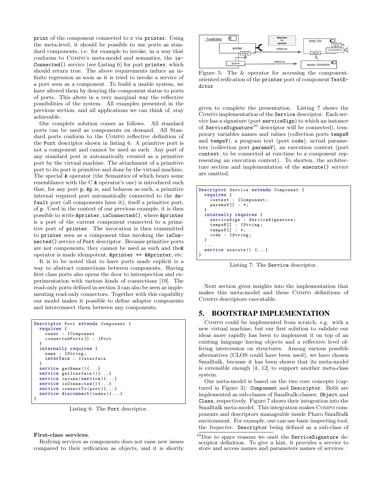print of the component connected to c via printer. Using the meta-level, it should be possible to use ports as standard components, i.e. for example to invoke, in a way that conforms to Compo's meta-model and semantics, the is-Connected() service (see Listing 6) for port printer, which should return true. The above requirements induce an infinite regression as soon as it is tried to invoke a service of a port seen as a component. To build a usable system, we have altered them by denying the component status to ports of ports. This alters in a very marginal way the reflective possibilities of the system. All examples presented in the previous section, and all applications we can think of, stay achievable.

Our complete solution comes as follows. All standard ports can be used as components on demand. All Standard ports conform to the Compo reflective definition of the Port descriptor shown in listing 6. A primitive port is not a component and cannot be used as such. Any port of any standard port is automatically created as a primitive port by the virtual machine. The attachment of a primitive port to its port is primitive and done by the virtual machine. The special & operator (the Semantics of which bears some resemblance with the C & operator's one) is introduced such that, for any port p, &p is, and behaves as such, a primitive internal required port automatically connected to the default port (all components have it), itself a primitive port, of p. Used in the context of our previous example, it is then possible to write &printer.isConnected(), where &printer is a port of the current component connected to a primitive port of printer. The invocation is then transmitted to printer seen as a component thus invoking the isConnected() service of Port descriptor. Because primitive ports are not components, they cannot be used as such and the& operator is made idempotent, &printer == &&printer, etc.

It is to be noted that to have ports made explicit is a way to abstract connections between components. Having first class ports also opens the door to introspection and experimentation with various kinds of connections [19]. The read-only ports defined in section 3 can also be seen as implementing read-only connectors. Together with this capability our model makes it possible to define adapter components and interconnect them between any components.

```
Descriptor Port extends Component {
  requires {
    owner : IComponent
    connectedPorts [] : IPort
  }
  internally requires {
    name : IString ;
    interface : IInterface
  }
  service getName (){...}
  service getIterface (){...}
  service invoke (service){...}
  service isConnected (){...}
  service connectTo (port){...}
  service disconnect(index){...}
}
```
Listing 6: The Port descriptor.

#### First-class services*.*

Reifying services as components does not raise new issues compared to their reification as objects, and it is shortly



Figure 5: The & operator for accessing the componentoriented reification of the printer port of component TextEditor

given to complete the presentation. Listing 7 shows the Compo implementation of the Service descriptor. Each service has a signature (port serviceSign) to which an instance of ServiceSignature<sup>10</sup> descriptor will be connected), temporary variables names and values (collection ports tempsN and tempsV), a program text (port code), actual parameters (collection port paramsV), an execution context (port context, to be connected at run-time to a component representing an execution context). To shorten, the architecture section and implementation of the execute() service are omitted.

```
Descriptor Service extends Component {
  requires {
    context : IComponent ;
    paramsV [] : *;
  }
  internally requires {
    serviceSign : ServiceSignature ;
    tempsN [] : IString ;
    tempsV [] : *;
    code : IString ;
  }
  ...
  service execute() {...}
}
```
Listing 7: The Service descriptor.

Next section gives insights into the implementation that makes this meta-model and these Compo definitions of Compo descriptors executable.

### 5. BOOTSTRAP IMPLEMENTATION

Compo could be implemented from scratch, e.g. with a new virtual machine, but our first solution to validate our ideas more rapidly has been to implement it on top of an existing language having objects and a reflective level offering intercession on structures. Among various possible alternatives (CLOS could have been used), we have chosen Smalltalk, because it has been shown that its meta-model is extensible enough [4, 12] to support another meta-class system.

Our meta-model is based on the two core concepts (captured in Figure 3): Component and Descriptor. Both are implemented as sub-classes of Smalltalk-classes: Object and Class, respectively. Figure 7 shows their integration into the Smalltalk meta-model. This integration makes Compo components and descriptors manageable inside Pharo Smalltalk environment. For example, one can use basic inspecting tool, the Inspector. Descriptor being defined as a sub-class of

 $10$ Due to space reasons we omit the ServiceSignature descriptor definition. To give a hint, it provides a service to store and access names and parameters names of services.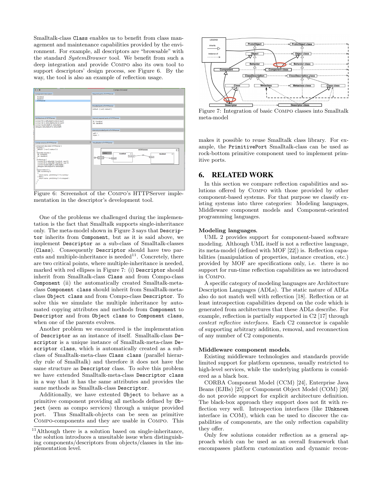Smalltalk-class Class enables us to benefit from class management and maintenance capabilities provided by the environment. For example, all descriptors are "browsable" with the standard SystemBrowser tool. We benefit from such a deep integration and provide Compo also its own tool to support descriptors' design process, see Figure 6. By the way, the tool is also an example of reflection usage.



Figure 6: Screenshot of the Compo's HTTPServer implementation in the descriptor's development tool.

One of the problems we challenged during the implementation is the fact that Smalltalk supports single-inheritance only. The meta-model shown in Figure 3 says that Descriptor inherits from Component, but as it is said above, we implement Descriptor as a sub-class of Smalltalk-classes (Class). Consequently Descriptor should have two parents and multiple-inheritance is needed $11$ . Concretely, there are two critical points, where multiple-inheritance is needed, marked with red ellipses in Figure 7: (i) Descriptor should inherit from Smalltalk-class Class and from Compo-class Component (ii) the automatically created Smalltalk-metaclass Component class should inherit from Smalltalk-metaclass Object class and from Compo-class Descriptor. To solve this we simulate the multiple inheritance by automated copying attributes and methods from Component to Descriptor and from Object class to Component class, when one of the parents evolves.

Another problem we encountered is the implementation of Descriptor as an instance of itself. Smalltalk-class Descriptor is a unique instance of Smalltalk-meta-class Descriptor class, which is automatically created as a subclass of Smalltalk-meta-class Class class (parallel hierarchy rule of Smalltalk) and therefore it does not have the same structure as Descriptor class. To solve this problem we have extended Smalltalk-meta-class Descriptor class in a way that it has the same attributes and provides the same methods as Smalltalk-class Descriptor.

Additionally, we have extented Object to behave as a primitive component providing all methods defined by Object (seen as compo services) through a unique provided Thus Smalltalk-objects can be seen as primitive Compo-components and they are usable in Compo. This



Figure 7: Integration of basic Compo classes into Smalltalk meta-model

makes it possible to reuse Smalltalk class library. For example, the PrimitivePort Smalltalk-class can be used as rock-bottom primitive component used to implement primitive ports.

### 6. RELATED WORK

In this section we compare reflection capabilities and solutions offered by Compo with those provided by other component-based systems. For that purpose we classify existing systems into three categories: Modeling languages, Middleware component models and Component-oriented programming languages.

#### Modeling languages*.*

UML 2 provides support for component-based software modeling. Although UML itself is not a reflective language, its meta-model (defined with MOF [22]) is. Reflection capabilities (manipulation of properties, instance creation, etc.) provided by MOF are specifications only, i.e. there is no support for run-time reflection capabilities as we introduced in Compo.

A specific category of modeling languages are Architecture Description Languages (ADLs). The static nature of ADLs also do not match well with reflection [18]. Reflection or at least introspection capabilities depend on the code which is generated from architectures that these ADLs describe. For example, reflection is partially supported in C2 [17] through context reflective interfaces. Each C2 connector is capable of supporting arbitrary addition, removal, and reconnection of any number of C2 components.

#### Middleware component models*.*

Existing middleware technologies and standards provide limited support for platform openness, usually restricted to high-level services, while the underlying platform is considered as a black box.

CORBA Component Model (CCM) [24], Enterprise Java Beans (EJBs) [25] or Component Object Model (COM) [20] do not provide support for explicit architecture definition. The black-box approach they support does not fit with reflection very well. Introspection interfaces (like IUnknown interface in COM), which can be used to discover the capabilities of components, are the only reflection capability they offer.

Only few solutions consider reflection as a general approach which can be used as an overall framework that encompasses platform customization and dynamic recon-

 $11$ Although there is a solution based on single-inheritance, the solution introduces a unsuitable issue when distinguishing components/descriptors from objects/classes in the implementation level.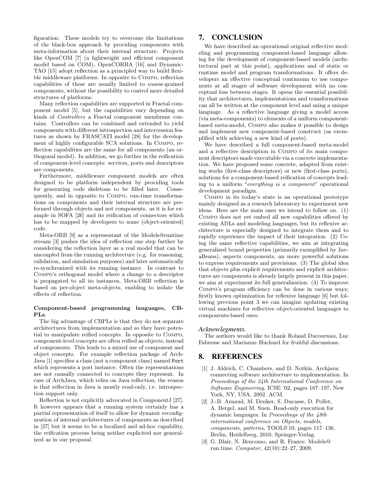figuration. These models try to overcome the limitations of the black-box approach by providing components with meta-information about their internal structure. Projects like OpenCOM [7] (a lightweight and efficient component model based on COM), OpenCORBA [16] and Dynamic-TAO [15] adopt reflection as a principled way to build flexible middleware platforms. In opposite to Compo, reflection capabilities of these are usually limited to coarse-grained components, without the possibility to control more detailed structures of platforms.

Many reflection capabilities are supported in Fractal component model [5], but the capabilities vary depending on kinds of Controllers a Fractal component membrane contains. Controllers can be combined and extended to yield components with different introspection and intercession features as shown by FRASCATI model [28] for the development of highly configurable SCA solutions. In Compo, reflection capabilities are the same for all components (an orthogonal model). In addition, we go further in the reification of component-level concepts: services, ports and descriptors are components.

Furthermore, middleware component models are often designed to be platform independent by providing tools for generating code skeletons to be filled later. Consequently, and in opposite to Compo, run-time transformations on components and their internal structure are performed through objects and not components. as it is for example in SOFA [26] and its reification of connectors which has to be mapped by developers to some (object-oriented) code.

Meta-ORB [9] as a representant of the Models@runtime stream [3] pushes the idea of reflection one step further by considering the reflection layer as a real model that can be uncoupled from the running architecture (e.g. for reasoning, validation, and simulation purposes) and later automatically re-synchronized with its running instance. In contrast to Compo's orthogonal model where a change to a descriptor is propagated to all its instances, Meta-ORB reflection is based on per-object meta-objects, enabling to isolate the effects of reflection.

#### Component-based programming languages, CB-PLs*.*

The big advantage of CBPLs is that they do not separate architectures from implementation and so they have potential to manipulate reified concepts. In opposite to Compo, component-level concepts are often reified as objects, instead of components. This leads to a mixed use of component and object concepts. For example reflection package of Arch-Java [1] specifies a class (not a component class) named Port which represents a port instance. Often the representations are not causally connected to concepts they represent. In case of ArchJava, which relies on Java reflection, the reason is that reflection in Java is mostly read-only, i.e. introspection support only.

Reflection is not explicitly advocated in ComponentJ [27]. It however appears that a running system certainly has a partial representation of itself to allow for dynamic reconfiguration of internal architectures of components as described in [27] but it seems to be a localized and ad-hoc capability, the reification process being neither explicited nor generalized as in our proposal.

## 7. CONCLUSION

We have described an operational original reflective modeling and programming component-based language allowing for the development of component-based models (architectural part at this point), applications and of static or runtime model and program transformations. It offers developers an effective conceptual continuum to use components at all stages of software development with no conceptual loss between stages. It opens the essential possibility that architectures, implementations and transformations can all be written at the component level and using a unique language. As a reflective language giving a model access (via meta-components) to elements of a uniform componentbased meta-model, Compo also makes it possible to design and implement new component-based construct (as exemplified with achieving a new kind of ports).

We have described a full component-based meta-model and a reflective description in COMPO of its main component descriptors made executable via a concrete implementation. We have proposed some concrete, adapted from existing works (first-class descriptors) or new (first-class ports), solutions for a component-based reification of concepts leading to a uniform "everything is a component" operational development paradigm.

Compo in its today's state is an operational prototype mainly designed as a research laboratory to experiment new ideas. Here are the main ones we intend to follow on. (1) Compo does not yet embed all new capabilities offered by existing ADLs and modeling languages, but its reflexive architecture is especially designed to integrate them and to rapidly experience the impact of their integration. (2) Using the same reflective capabilities, we aim at integrating generalized bound properties (primarily exemplified by JavaBeans), aspects components, an more powerful solutions to express requirements and provisions. (3) The global idea that objects plus explicit requirements and explicit architectures are components is already largely present in this paper, we aim at experiment its full generalization. (4) To improve Compo's program efficiency can be done in various ways; firstly known optimization for reflexive language [6] but following previous point 3 we can imagine updating existing virtual machines for reflective object-oriented languages to components-based ones.

#### *Acknowlegments.*

The authors would like to thank Roland Ducournau, Luc Fabresse and Marianne Huchard for fruitful discussions.

## 8. REFERENCES

- [1] J. Aldrich, C. Chambers, and D. Notkin. Archjava: connecting software architecture to implementation. In Proceedings of the 24th International Conference on Software Engineering, ICSE '02, pages 187–197, New York, NY, USA, 2002. ACM.
- [2] J.-B. Arnaud, M. Denker, S. Ducasse, D. Pollet, A. Bergel, and M. Suen. Read-only execution for dynamic languages. In Proceedings of the 48th international conference on Objects, models, components, patterns, TOOLS'10, pages 117–136, Berlin, Heidelberg, 2010. Springer-Verlag.
- [3] G. Blair, N. Bencomo, and R. France. Models@ run.time. Computer, 42(10):22–27, 2009.